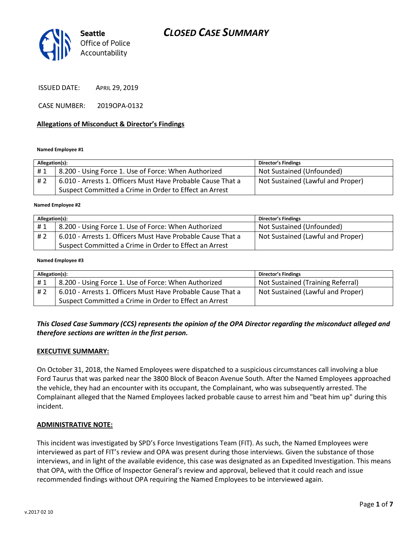

ISSUED DATE: APRIL 29, 2019

CASE NUMBER: 2019OPA-0132

#### **Allegations of Misconduct & Director's Findings**

#### **Named Employee #1**

| Allegation(s): |                                                             | <b>Director's Findings</b>        |
|----------------|-------------------------------------------------------------|-----------------------------------|
| #1             | 8.200 - Using Force 1. Use of Force: When Authorized        | Not Sustained (Unfounded)         |
| #2             | 6.010 - Arrests 1. Officers Must Have Probable Cause That a | Not Sustained (Lawful and Proper) |
|                | Suspect Committed a Crime in Order to Effect an Arrest      |                                   |

#### ؚ<br>ا **Named Employee #2**

| Allegation(s): |                                                             | <b>Director's Findings</b>        |
|----------------|-------------------------------------------------------------|-----------------------------------|
| #1             | 8.200 - Using Force 1. Use of Force: When Authorized        | Not Sustained (Unfounded)         |
| # 2            | 6.010 - Arrests 1. Officers Must Have Probable Cause That a | Not Sustained (Lawful and Proper) |
|                | Suspect Committed a Crime in Order to Effect an Arrest      |                                   |

#### **Named Employee #3**

| Allegation(s): |                                                             | Director's Findings               |
|----------------|-------------------------------------------------------------|-----------------------------------|
| #1             | 8.200 - Using Force 1. Use of Force: When Authorized        | Not Sustained (Training Referral) |
| # 2            | 6.010 - Arrests 1. Officers Must Have Probable Cause That a | Not Sustained (Lawful and Proper) |
|                | Suspect Committed a Crime in Order to Effect an Arrest      |                                   |

#### *This Closed Case Summary (CCS) represents the opinion of the OPA Director regarding the misconduct alleged and therefore sections are written in the first person.*

#### **EXECUTIVE SUMMARY:**

On October 31, 2018, the Named Employees were dispatched to a suspicious circumstances call involving a blue Ford Taurus that was parked near the 3800 Block of Beacon Avenue South. After the Named Employees approached the vehicle, they had an encounter with its occupant, the Complainant, who was subsequently arrested. The Complainant alleged that the Named Employees lacked probable cause to arrest him and "beat him up" during this incident.

#### **ADMINISTRATIVE NOTE:**

This incident was investigated by SPD's Force Investigations Team (FIT). As such, the Named Employees were interviewed as part of FIT's review and OPA was present during those interviews. Given the substance of those interviews, and in light of the available evidence, this case was designated as an Expedited Investigation. This means that OPA, with the Office of Inspector General's review and approval, believed that it could reach and issue recommended findings without OPA requiring the Named Employees to be interviewed again.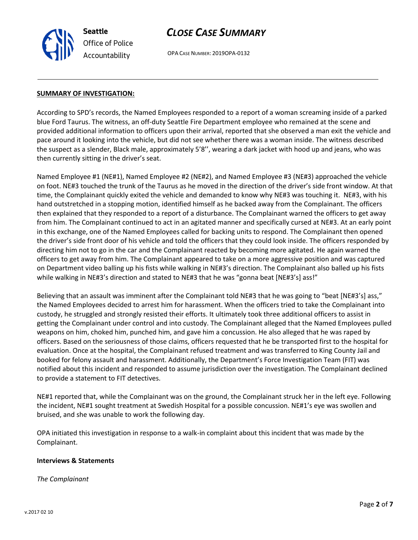**Seattle** *Office of Police Accountability*

## *CLOSE CASE SUMMARY*

OPA CASE NUMBER: 2019OPA-0132

#### **SUMMARY OF INVESTIGATION:**

According to SPD's records, the Named Employees responded to a report of a woman screaming inside of a parked blue Ford Taurus. The witness, an off-duty Seattle Fire Department employee who remained at the scene and provided additional information to officers upon their arrival, reported that she observed a man exit the vehicle and pace around it looking into the vehicle, but did not see whether there was a woman inside. The witness described the suspect as a slender, Black male, approximately 5'8'', wearing a dark jacket with hood up and jeans, who was then currently sitting in the driver's seat.

Named Employee #1 (NE#1), Named Employee #2 (NE#2), and Named Employee #3 (NE#3) approached the vehicle on foot. NE#3 touched the trunk of the Taurus as he moved in the direction of the driver's side front window. At that time, the Complainant quickly exited the vehicle and demanded to know why NE#3 was touching it. NE#3, with his hand outstretched in a stopping motion, identified himself as he backed away from the Complainant. The officers then explained that they responded to a report of a disturbance. The Complainant warned the officers to get away from him. The Complainant continued to act in an agitated manner and specifically cursed at NE#3. At an early point in this exchange, one of the Named Employees called for backing units to respond. The Complainant then opened the driver's side front door of his vehicle and told the officers that they could look inside. The officers responded by directing him not to go in the car and the Complainant reacted by becoming more agitated. He again warned the officers to get away from him. The Complainant appeared to take on a more aggressive position and was captured on Department video balling up his fists while walking in NE#3's direction. The Complainant also balled up his fists while walking in NE#3's direction and stated to NE#3 that he was "gonna beat [NE#3's] ass!"

Believing that an assault was imminent after the Complainant told NE#3 that he was going to "beat [NE#3's] ass," the Named Employees decided to arrest him for harassment. When the officers tried to take the Complainant into custody, he struggled and strongly resisted their efforts. It ultimately took three additional officers to assist in getting the Complainant under control and into custody. The Complainant alleged that the Named Employees pulled weapons on him, choked him, punched him, and gave him a concussion. He also alleged that he was raped by officers. Based on the seriousness of those claims, officers requested that he be transported first to the hospital for evaluation. Once at the hospital, the Complainant refused treatment and was transferred to King County Jail and booked for felony assault and harassment. Additionally, the Department's Force Investigation Team (FIT) was notified about this incident and responded to assume jurisdiction over the investigation. The Complainant declined to provide a statement to FIT detectives.

NE#1 reported that, while the Complainant was on the ground, the Complainant struck her in the left eye. Following the incident, NE#1 sought treatment at Swedish Hospital for a possible concussion. NE#1's eye was swollen and bruised, and she was unable to work the following day.

OPA initiated this investigation in response to a walk-in complaint about this incident that was made by the Complainant.

#### **Interviews & Statements**

*The Complainant*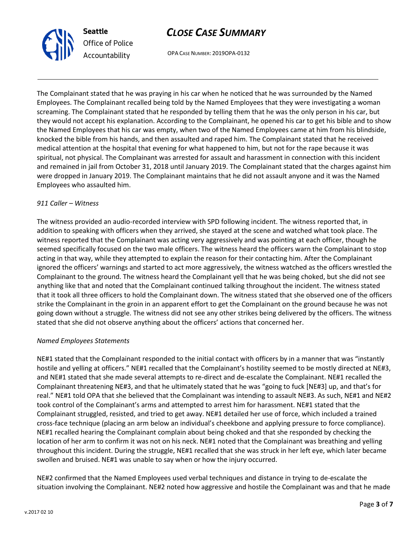

## *CLOSE CASE SUMMARY*

OPA CASE NUMBER: 2019OPA-0132

The Complainant stated that he was praying in his car when he noticed that he was surrounded by the Named Employees. The Complainant recalled being told by the Named Employees that they were investigating a woman screaming. The Complainant stated that he responded by telling them that he was the only person in his car, but they would not accept his explanation. According to the Complainant, he opened his car to get his bible and to show the Named Employees that his car was empty, when two of the Named Employees came at him from his blindside, knocked the bible from his hands, and then assaulted and raped him. The Complainant stated that he received medical attention at the hospital that evening for what happened to him, but not for the rape because it was spiritual, not physical. The Complainant was arrested for assault and harassment in connection with this incident and remained in jail from October 31, 2018 until January 2019. The Complainant stated that the charges against him were dropped in January 2019. The Complainant maintains that he did not assault anyone and it was the Named Employees who assaulted him.

#### *911 Caller – Witness*

The witness provided an audio-recorded interview with SPD following incident. The witness reported that, in addition to speaking with officers when they arrived, she stayed at the scene and watched what took place. The witness reported that the Complainant was acting very aggressively and was pointing at each officer, though he seemed specifically focused on the two male officers. The witness heard the officers warn the Complainant to stop acting in that way, while they attempted to explain the reason for their contacting him. After the Complainant ignored the officers' warnings and started to act more aggressively, the witness watched as the officers wrestled the Complainant to the ground. The witness heard the Complainant yell that he was being choked, but she did not see anything like that and noted that the Complainant continued talking throughout the incident. The witness stated that it took all three officers to hold the Complainant down. The witness stated that she observed one of the officers strike the Complainant in the groin in an apparent effort to get the Complainant on the ground because he was not going down without a struggle. The witness did not see any other strikes being delivered by the officers. The witness stated that she did not observe anything about the officers' actions that concerned her.

#### *Named Employees Statements*

NE#1 stated that the Complainant responded to the initial contact with officers by in a manner that was "instantly hostile and yelling at officers." NE#1 recalled that the Complainant's hostility seemed to be mostly directed at NE#3, and NE#1 stated that she made several attempts to re-direct and de-escalate the Complainant. NE#1 recalled the Complainant threatening NE#3, and that he ultimately stated that he was "going to fuck [NE#3] up, and that's for real." NE#1 told OPA that she believed that the Complainant was intending to assault NE#3. As such, NE#1 and NE#2 took control of the Complainant's arms and attempted to arrest him for harassment. NE#1 stated that the Complainant struggled, resisted, and tried to get away. NE#1 detailed her use of force, which included a trained cross-face technique (placing an arm below an individual's cheekbone and applying pressure to force compliance). NE#1 recalled hearing the Complainant complain about being choked and that she responded by checking the location of her arm to confirm it was not on his neck. NE#1 noted that the Complainant was breathing and yelling throughout this incident. During the struggle, NE#1 recalled that she was struck in her left eye, which later became swollen and bruised. NE#1 was unable to say when or how the injury occurred.

NE#2 confirmed that the Named Employees used verbal techniques and distance in trying to de-escalate the situation involving the Complainant. NE#2 noted how aggressive and hostile the Complainant was and that he made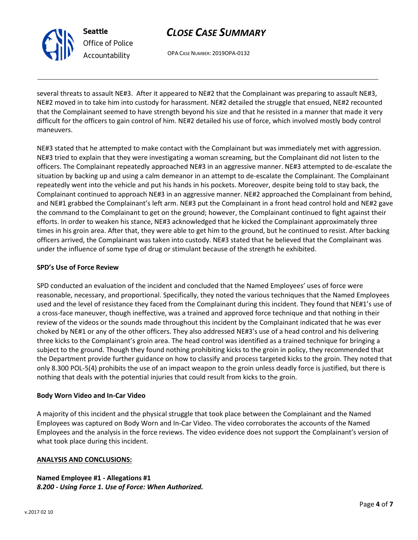

**ANALYSIS AND CONCLUSIONS:**

**Named Employee #1 - Allegations #1** *8.200 - Using Force 1. Use of Force: When Authorized.*

*CLOSE CASE SUMMARY*

OPA CASE NUMBER: 2019OPA-0132

several threats to assault NE#3. After it appeared to NE#2 that the Complainant was preparing to assault NE#3, NE#2 moved in to take him into custody for harassment. NE#2 detailed the struggle that ensued, NE#2 recounted that the Complainant seemed to have strength beyond his size and that he resisted in a manner that made it very difficult for the officers to gain control of him. NE#2 detailed his use of force, which involved mostly body control maneuvers.

NE#3 stated that he attempted to make contact with the Complainant but was immediately met with aggression. NE#3 tried to explain that they were investigating a woman screaming, but the Complainant did not listen to the officers. The Complainant repeatedly approached NE#3 in an aggressive manner. NE#3 attempted to de-escalate the situation by backing up and using a calm demeanor in an attempt to de-escalate the Complainant. The Complainant repeatedly went into the vehicle and put his hands in his pockets. Moreover, despite being told to stay back, the Complainant continued to approach NE#3 in an aggressive manner. NE#2 approached the Complainant from behind, and NE#1 grabbed the Complainant's left arm. NE#3 put the Complainant in a front head control hold and NE#2 gave the command to the Complainant to get on the ground; however, the Complainant continued to fight against their efforts. In order to weaken his stance, NE#3 acknowledged that he kicked the Complainant approximately three times in his groin area. After that, they were able to get him to the ground, but he continued to resist. After backing officers arrived, the Complainant was taken into custody. NE#3 stated that he believed that the Complainant was under the influence of some type of drug or stimulant because of the strength he exhibited.

#### **SPD's Use of Force Review**

SPD conducted an evaluation of the incident and concluded that the Named Employees' uses of force were reasonable, necessary, and proportional. Specifically, they noted the various techniques that the Named Employees used and the level of resistance they faced from the Complainant during this incident. They found that NE#1's use of a cross-face maneuver, though ineffective, was a trained and approved force technique and that nothing in their review of the videos or the sounds made throughout this incident by the Complainant indicated that he was ever choked by NE#1 or any of the other officers. They also addressed NE#3's use of a head control and his delivering three kicks to the Complainant's groin area. The head control was identified as a trained technique for bringing a subject to the ground. Though they found nothing prohibiting kicks to the groin in policy, they recommended that the Department provide further guidance on how to classify and process targeted kicks to the groin. They noted that only 8.300 POL-5(4) prohibits the use of an impact weapon to the groin unless deadly force is justified, but there is nothing that deals with the potential injuries that could result from kicks to the groin.

A majority of this incident and the physical struggle that took place between the Complainant and the Named Employees was captured on Body Worn and In-Car Video. The video corroborates the accounts of the Named Employees and the analysis in the force reviews. The video evidence does not support the Complainant's version of

### **Body Worn Video and In-Car Video**



**Seattle**

*Office of Police Accountability*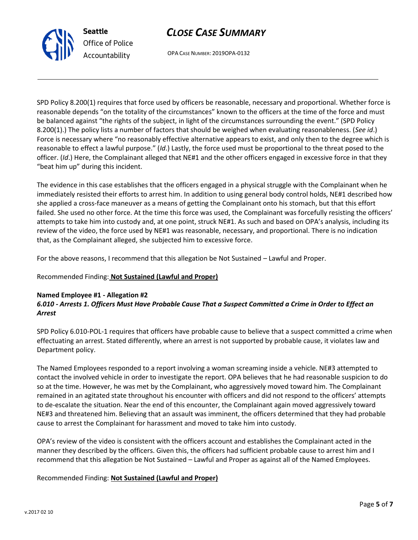## *CLOSE CASE SUMMARY*

OPA CASE NUMBER: 2019OPA-0132

SPD Policy 8.200(1) requires that force used by officers be reasonable, necessary and proportional. Whether force is reasonable depends "on the totality of the circumstances" known to the officers at the time of the force and must be balanced against "the rights of the subject, in light of the circumstances surrounding the event." (SPD Policy 8.200(1).) The policy lists a number of factors that should be weighed when evaluating reasonableness. (*See id*.) Force is necessary where "no reasonably effective alternative appears to exist, and only then to the degree which is reasonable to effect a lawful purpose." (*Id*.) Lastly, the force used must be proportional to the threat posed to the officer. (*Id*.) Here, the Complainant alleged that NE#1 and the other officers engaged in excessive force in that they "beat him up" during this incident.

The evidence in this case establishes that the officers engaged in a physical struggle with the Complainant when he immediately resisted their efforts to arrest him. In addition to using general body control holds, NE#1 described how she applied a cross-face maneuver as a means of getting the Complainant onto his stomach, but that this effort failed. She used no other force. At the time this force was used, the Complainant was forcefully resisting the officers' attempts to take him into custody and, at one point, struck NE#1. As such and based on OPA's analysis, including its review of the video, the force used by NE#1 was reasonable, necessary, and proportional. There is no indication that, as the Complainant alleged, she subjected him to excessive force.

For the above reasons, I recommend that this allegation be Not Sustained – Lawful and Proper.

### Recommended Finding: **Not Sustained (Lawful and Proper)**

#### **Named Employee #1 - Allegation #2** *6.010 - Arrests 1. Officers Must Have Probable Cause That a Suspect Committed a Crime in Order to Effect an Arrest*

SPD Policy 6.010-POL-1 requires that officers have probable cause to believe that a suspect committed a crime when effectuating an arrest. Stated differently, where an arrest is not supported by probable cause, it violates law and Department policy.

The Named Employees responded to a report involving a woman screaming inside a vehicle. NE#3 attempted to contact the involved vehicle in order to investigate the report. OPA believes that he had reasonable suspicion to do so at the time. However, he was met by the Complainant, who aggressively moved toward him. The Complainant remained in an agitated state throughout his encounter with officers and did not respond to the officers' attempts to de-escalate the situation. Near the end of this encounter, the Complainant again moved aggressively toward NE#3 and threatened him. Believing that an assault was imminent, the officers determined that they had probable cause to arrest the Complainant for harassment and moved to take him into custody.

OPA's review of the video is consistent with the officers account and establishes the Complainant acted in the manner they described by the officers. Given this, the officers had sufficient probable cause to arrest him and I recommend that this allegation be Not Sustained – Lawful and Proper as against all of the Named Employees.

### Recommended Finding: **Not Sustained (Lawful and Proper)**



**Seattle** *Office of Police Accountability*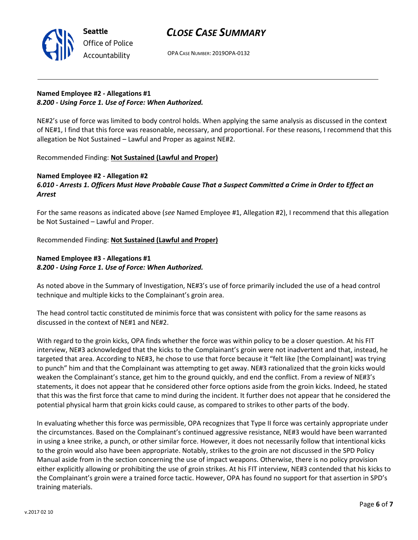## *CLOSE CASE SUMMARY*



OPA CASE NUMBER: 2019OPA-0132

## **Named Employee #2 - Allegations #1** *8.200 - Using Force 1. Use of Force: When Authorized.*

NE#2's use of force was limited to body control holds. When applying the same analysis as discussed in the context of NE#1, I find that this force was reasonable, necessary, and proportional. For these reasons, I recommend that this allegation be Not Sustained – Lawful and Proper as against NE#2.

Recommended Finding: **Not Sustained (Lawful and Proper)**

#### **Named Employee #2 - Allegation #2** *6.010 - Arrests 1. Officers Must Have Probable Cause That a Suspect Committed a Crime in Order to Effect an Arrest*

For the same reasons as indicated above (*see* Named Employee #1, Allegation #2), I recommend that this allegation be Not Sustained – Lawful and Proper.

Recommended Finding: **Not Sustained (Lawful and Proper)**

## **Named Employee #3 - Allegations #1** *8.200 - Using Force 1. Use of Force: When Authorized.*

As noted above in the Summary of Investigation, NE#3's use of force primarily included the use of a head control technique and multiple kicks to the Complainant's groin area.

The head control tactic constituted de minimis force that was consistent with policy for the same reasons as discussed in the context of NE#1 and NE#2.

With regard to the groin kicks, OPA finds whether the force was within policy to be a closer question. At his FIT interview, NE#3 acknowledged that the kicks to the Complainant's groin were not inadvertent and that, instead, he targeted that area. According to NE#3, he chose to use that force because it "felt like [the Complainant] was trying to punch" him and that the Complainant was attempting to get away. NE#3 rationalized that the groin kicks would weaken the Complainant's stance, get him to the ground quickly, and end the conflict. From a review of NE#3's statements, it does not appear that he considered other force options aside from the groin kicks. Indeed, he stated that this was the first force that came to mind during the incident. It further does not appear that he considered the potential physical harm that groin kicks could cause, as compared to strikes to other parts of the body.

In evaluating whether this force was permissible, OPA recognizes that Type II force was certainly appropriate under the circumstances. Based on the Complainant's continued aggressive resistance, NE#3 would have been warranted in using a knee strike, a punch, or other similar force. However, it does not necessarily follow that intentional kicks to the groin would also have been appropriate. Notably, strikes to the groin are not discussed in the SPD Policy Manual aside from in the section concerning the use of impact weapons. Otherwise, there is no policy provision either explicitly allowing or prohibiting the use of groin strikes. At his FIT interview, NE#3 contended that his kicks to the Complainant's groin were a trained force tactic. However, OPA has found no support for that assertion in SPD's training materials.